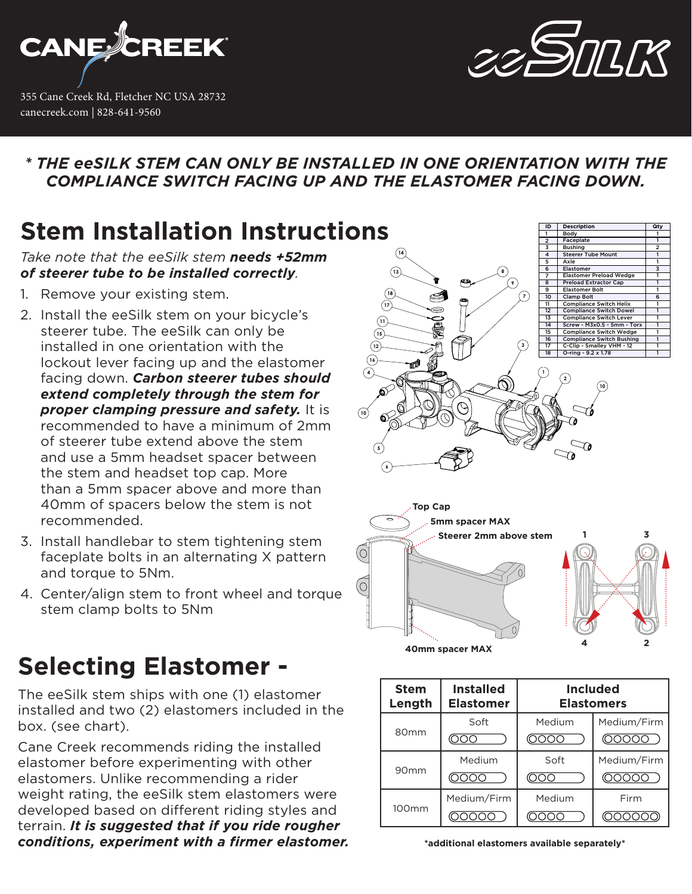

355 Cane Creek Rd, Fletcher NC USA 28732 canecreek.com | 828-641-9560



### *\* THE eeSILK STEM CAN ONLY BE INSTALLED IN ONE ORIENTATION WITH THE COMPLIANCE SWITCH FACING UP AND THE ELASTOMER FACING DOWN.*

### **Stem Installation Instructions**

*Take note that the eeSilk stem needs +52mm of steerer tube to be installed correctly.* 

- 1. Remove your existing stem.
- 2. Install the eeSilk stem on your bicycle's steerer tube. The eeSilk can only be installed in one orientation with the lockout lever facing up and the elastomer facing down. *Carbon steerer tubes should extend completely through the stem for proper clamping pressure and safety.* It is recommended to have a minimum of 2mm of steerer tube extend above the stem and use a 5mm headset spacer between the stem and headset top cap. More than a 5mm spacer above and more than 40mm of spacers below the stem is not recommended.
- 3. Install handlebar to stem tightening stem faceplate bolts in an alternating X pattern and torque to 5Nm.
- 4. Center/align stem to front wheel and torque stem clamp bolts to 5Nm

## **Selecting Elastomer -**

The eeSilk stem ships with one (1) elastomer installed and two (2) elastomers included in the box. (see chart).

Cane Creek recommends riding the installed elastomer before experimenting with other elastomers. Unlike recommending a rider weight rating, the eeSilk stem elastomers were developed based on different riding styles and terrain. *It is suggested that if you ride rougher conditions, experiment with a firmer elastomer.*



**40mm spacer MAX**

| <b>Stem</b><br>Length | <b>Installed</b><br><b>Elastomer</b> | <b>Included</b><br><b>Elastomers</b> |             |
|-----------------------|--------------------------------------|--------------------------------------|-------------|
| 80 <sub>mm</sub>      | Soft                                 | Medium                               | Medium/Firm |
|                       |                                      |                                      |             |
| 90 <sub>mm</sub>      | Medium                               | Soft                                 | Medium/Firm |
|                       |                                      |                                      |             |
| 100mm                 | Medium/Firm                          | Medium                               | Firm        |
|                       |                                      |                                      |             |

**\*additional elastomers available separately\***